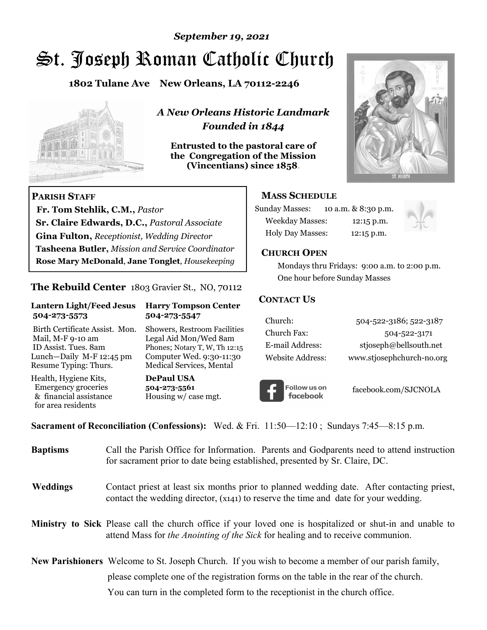# St. Joseph Roman Catholic Church *September 19, 2021*

**1802 Tulane Ave New Orleans, LA 70112-2246**



 **Fr. Tom Stehlik, C.M.,** *Pastor* 

**Sr. Claire Edwards, D.C.,** *Pastoral Associate* **Gina Fulton,** *Receptionist, Wedding Director* 

**Tasheena Butler,** *Mission and Service Coordinator* **Rose Mary McDonald**, **Jane Tonglet**, *Housekeeping*

**The Rebuild Center** 1803 Gravier St., NO, 70112

**Lantern Light/Feed Jesus Harry Tompson Center** 

Birth Certificate Assist. Mon. Showers, Restroom Facilities Mail, M-F 9-10 am Legal Aid Mon/Wed 8am ID Assist. Tues. 8am Phones; Notary T, W, Th 12:15 Lunch—Daily M-F 12:45 pm Computer Wed. 9:30-11:30 Resume Typing: Thurs. Medical Services, Mental

 **504-273-5573 504-273-5547** 

Health, Hygiene Kits, **DePaul USA**  Emergency groceries **504-273-5561**<br>& financial assistance Housing w/ ca

**PARISH STAFF**

for area residents

*A New Orleans Historic Landmark Founded in 1844* 

**Entrusted to the pastoral care of the Congregation of the Mission (Vincentians) since 1858**.



## **MASS SCHEDULE**

| <b>Sunday Masses:</b>  | 10 a.m. & 8:30 p.m. |
|------------------------|---------------------|
| <b>Weekday Masses:</b> | $12:15$ p.m.        |
| Holy Day Masses:       | 12:15 p.m.          |



### **CHURCH OPEN**

 Mondays thru Fridays: 9:00 a.m. to 2:00 p.m. One hour before Sunday Masses

### **CONTACT US**

| Church:          | 504-522-3186; 522-3187    |
|------------------|---------------------------|
| Church Fax:      | 504-522-3171              |
| E-mail Address:  | stjoseph@bellsouth.net    |
| Website Address: | www.stjosephchurch-no.org |



facebook.com/SJCNOLA

**Sacrament of Reconciliation (Confessions):** Wed. & Fri. 11:50—12:10 ; Sundays 7:45—8:15 p.m.

Housing w/ case mgt.

| <b>Baptisms</b> | Call the Parish Office for Information. Parents and Godparents need to attend instruction<br>for sacrament prior to date being established, presented by Sr. Claire, DC.                     |
|-----------------|----------------------------------------------------------------------------------------------------------------------------------------------------------------------------------------------|
| <b>Weddings</b> | Contact priest at least six months prior to planned wedding date. After contacting priest,<br>contact the wedding director, (x141) to reserve the time and date for your wedding.            |
|                 | Ministry to Sick Please call the church office if your loved one is hospitalized or shut-in and unable to<br>attend Mass for the Anointing of the Sick for healing and to receive communion. |
|                 | New Parishioners Welcome to St. Joseph Church. If you wish to become a member of our parish family,                                                                                          |
|                 | please complete one of the registration forms on the table in the rear of the church.                                                                                                        |
|                 | You can turn in the completed form to the receptionist in the church office.                                                                                                                 |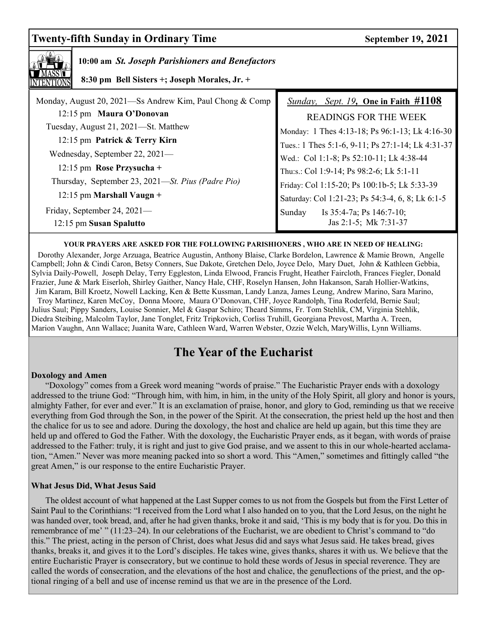## **Twenty-fifth Sunday in Ordinary Time September 19, 2021**

| 10:00 am St. Joseph Parishioners and Benefactors<br>8:30 pm Bell Sisters +; Joseph Morales, Jr. + |                                                           |  |  |
|---------------------------------------------------------------------------------------------------|-----------------------------------------------------------|--|--|
| Monday, August 20, 2021—Ss Andrew Kim, Paul Chong & Comp                                          | <i>Sunday, Sept. 19, One in Faith <math>\#1108</math></i> |  |  |
| 12:15 pm Maura O'Donovan                                                                          | <b>READINGS FOR THE WEEK</b>                              |  |  |
| Tuesday, August 21, 2021—St. Matthew                                                              | Monday: 1 Thes 4:13-18; Ps 96:1-13; Lk 4:16-30            |  |  |
| 12:15 pm Patrick & Terry Kirn                                                                     | Tues.: 1 Thes 5:1-6, 9-11; Ps 27:1-14; Lk 4:31-37         |  |  |
| Wednesday, September 22, 2021—                                                                    | Wed.: Col 1:1-8; Ps 52:10-11; Lk 4:38-44                  |  |  |
| 12:15 pm Rose Przysucha +                                                                         | Thu:s.: Col 1:9-14; Ps 98:2-6; Lk 5:1-11                  |  |  |
| Thursday, September 23, 2021—St. Pius (Padre Pio)                                                 | Friday: Col 1:15-20; Ps 100:1b-5; Lk 5:33-39              |  |  |
| $12:15$ pm Marshall Vaugn +                                                                       | Saturday: Col 1:21-23; Ps 54:3-4, 6, 8; Lk 6:1-5          |  |  |
| Friday, September 24, 2021—                                                                       | Sunday<br>Is $35:4-7a$ ; Ps $146:7-10$ ;                  |  |  |
| 12:15 pm Susan Spalutto                                                                           | Jas 2:1-5; Mk 7:31-37                                     |  |  |

#### **YOUR PRAYERS ARE ASKED FOR THE FOLLOWING PARISHIONERS , WHO ARE IN NEED OF HEALING:**

 Dorothy Alexander, Jorge Arzuaga, Beatrice Augustin, Anthony Blaise, Clarke Bordelon, Lawrence & Mamie Brown, Angelle Campbell; John & Cindi Caron, Betsy Conners, Sue Dakote, Gretchen Delo, Joyce Delo, Mary Duet, John & Kathleen Gebbia, Sylvia Daily-Powell, Joseph Delay, Terry Eggleston, Linda Elwood, Francis Frught, Heather Faircloth, Frances Fiegler, Donald Frazier, June & Mark Eiserloh, Shirley Gaither, Nancy Hale, CHF, Roselyn Hansen, John Hakanson, Sarah Hollier-Watkins, Jim Karam, Bill Kroetz, Nowell Lacking, Ken & Bette Kussman, Landy Lanza, James Leung, Andrew Marino, Sara Marino, Troy Martinez, Karen McCoy, Donna Moore, Maura O'Donovan, CHF, Joyce Randolph, Tina Roderfeld, Bernie Saul; Julius Saul; Pippy Sanders, Louise Sonnier, Mel & Gaspar Schiro; Theard Simms, Fr. Tom Stehlik, CM, Virginia Stehlik, Diedra Steibing, Malcolm Taylor, Jane Tonglet, Fritz Tripkovich, Corliss Truhill, Georgiana Prevost, Martha A. Treen, Marion Vaughn, Ann Wallace; Juanita Ware, Cathleen Ward, Warren Webster, Ozzie Welch, MaryWillis, Lynn Williams.

## **The Year of the Eucharist**

#### **Doxology and Amen**

 "Doxology" comes from a Greek word meaning "words of praise." The Eucharistic Prayer ends with a doxology addressed to the triune God: "Through him, with him, in him, in the unity of the Holy Spirit, all glory and honor is yours, almighty Father, for ever and ever." It is an exclamation of praise, honor, and glory to God, reminding us that we receive everything from God through the Son, in the power of the Spirit. At the consecration, the priest held up the host and then the chalice for us to see and adore. During the doxology, the host and chalice are held up again, but this time they are held up and offered to God the Father. With the doxology, the Eucharistic Prayer ends, as it began, with words of praise addressed to the Father: truly, it is right and just to give God praise, and we assent to this in our whole-hearted acclamation, "Amen." Never was more meaning packed into so short a word. This "Amen," sometimes and fittingly called "the great Amen," is our response to the entire Eucharistic Prayer.

#### **What Jesus Did, What Jesus Said**

The oldest account of what happened at the Last Supper comes to us not from the Gospels but from the First Letter of Saint Paul to the Corinthians: "I received from the Lord what I also handed on to you, that the Lord Jesus, on the night he was handed over, took bread, and, after he had given thanks, broke it and said, 'This is my body that is for you. Do this in remembrance of me' " (11:23–24). In our celebrations of the Eucharist, we are obedient to Christ's command to "do this." The priest, acting in the person of Christ, does what Jesus did and says what Jesus said. He takes bread, gives thanks, breaks it, and gives it to the Lord's disciples. He takes wine, gives thanks, shares it with us. We believe that the entire Eucharistic Prayer is consecratory, but we continue to hold these words of Jesus in special reverence. They are called the words of consecration, and the elevations of the host and chalice, the genuflections of the priest, and the optional ringing of a bell and use of incense remind us that we are in the presence of the Lord.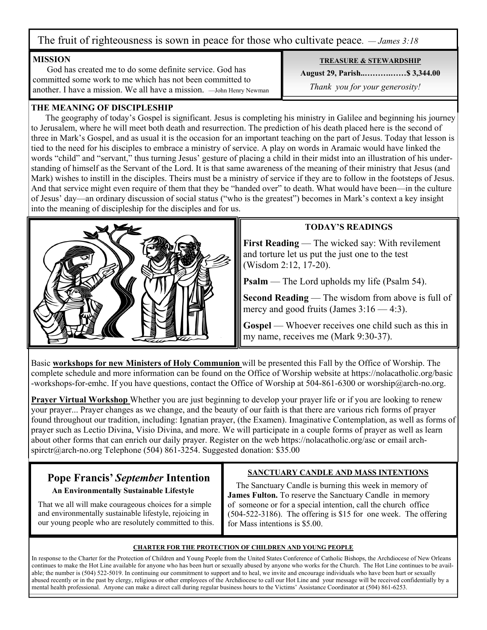The fruit of righteousness is sown in peace for those who cultivate peace. *— James 3:18*

#### **MISSION**

 God has created me to do some definite service. God has committed some work to me which has not been committed to another. I have a mission. We all have a mission. —John Henry Newman

### **THE MEANING OF DISCIPLESHIP**

 The geography of today's Gospel is significant. Jesus is completing his ministry in Galilee and beginning his journey to Jerusalem, where he will meet both death and resurrection. The prediction of his death placed here is the second of three in Mark's Gospel, and as usual it is the occasion for an important teaching on the part of Jesus. Today that lesson is tied to the need for his disciples to embrace a ministry of service. A play on words in Aramaic would have linked the words "child" and "servant," thus turning Jesus' gesture of placing a child in their midst into an illustration of his understanding of himself as the Servant of the Lord. It is that same awareness of the meaning of their ministry that Jesus (and Mark) wishes to instill in the disciples. Theirs must be a ministry of service if they are to follow in the footsteps of Jesus. And that service might even require of them that they be "handed over" to death. What would have been—in the culture of Jesus' day—an ordinary discussion of social status ("who is the greatest") becomes in Mark's context a key insight into the meaning of discipleship for the disciples and for us.



## **TODAY'S READINGS**

**First Reading** — The wicked say: With revilement and torture let us put the just one to the test (Wisdom 2:12, 17-20).

**Psalm** — The Lord upholds my life (Psalm 54).

**Second Reading** — The wisdom from above is full of mercy and good fruits (James  $3:16 - 4:3$ ).

**Gospel** — Whoever receives one child such as this in my name, receives me (Mark 9:30-37).

Basic **workshops for new Ministers of Holy Communion** will be presented this Fall by the Office of Worship. The complete schedule and more information can be found on the Office of Worship website at https://nolacatholic.org/basic -workshops-for-emhc. If you have questions, contact the Office of Worship at 504-861-6300 or worship@arch-no.org.

**Prayer Virtual Workshop** Whether you are just beginning to develop your prayer life or if you are looking to renew your prayer... Prayer changes as we change, and the beauty of our faith is that there are various rich forms of prayer found throughout our tradition, including: Ignatian prayer, (the Examen). Imaginative Contemplation, as well as forms of prayer such as Lectio Divina, Visio Divina, and more. We will participate in a couple forms of prayer as well as learn about other forms that can enrich our daily prayer. Register on the web https://nolacatholic.org/asc or email archspirctr@arch-no.org Telephone (504) 861-3254. Suggested donation: \$35.00

## **Pope Francis'** *September* **Intention**

## **An Environmentally Sustainable Lifestyle**

That we all will make courageous choices for a simple and environmentally sustainable lifestyle, rejoicing in our young people who are resolutely committed to this.

## **SANCTUARY CANDLE AND MASS INTENTIONS**

 The Sanctuary Candle is burning this week in memory of **James Fulton.** To reserve the Sanctuary Candle in memory of someone or for a special intention, call the church office (504-522-3186). The offering is \$15 for one week. The offering for Mass intentions is \$5.00.

#### **CHARTER FOR THE PROTECTION OF CHILDREN AND YOUNG PEOPLE**

In response to the Charter for the Protection of Children and Young People from the United States Conference of Catholic Bishops, the Archdiocese of New Orleans continues to make the Hot Line available for anyone who has been hurt or sexually abused by anyone who works for the Church. The Hot Line continues to be available; the number is (504) 522-5019. In continuing our commitment to support and to heal, we invite and encourage individuals who have been hurt or sexually abused recently or in the past by clergy, religious or other employees of the Archdiocese to call our Hot Line and your message will be received confidentially by a mental health professional. Anyone can make a direct call during regular business hours to the Victims' Assistance Coordinator at (504) 861-6253.

**TREASURE & STEWARDSHIP**

**August 29, Parish..……….……\$ 3,344.00** 

 *Thank you for your generosity!*